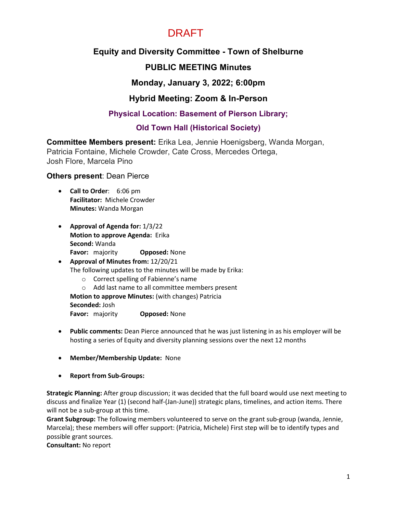# DRAFT

# **Equity and Diversity Committee - Town of Shelburne**

# **PUBLIC MEETING Minutes**

### **Monday, January 3, 2022; 6:00pm**

# **Hybrid Meeting: Zoom & In-Person**

### **Physical Location: Basement of Pierson Library;**

### **Old Town Hall (Historical Society)**

**Committee Members present:** Erika Lea, Jennie Hoenigsberg, Wanda Morgan, Patricia Fontaine, Michele Crowder, Cate Cross, Mercedes Ortega, Josh Flore, Marcela Pino

#### **Others present**: Dean Pierce

- **Call to Order**: 6:06 pm **Facilitator:** Michele Crowder **Minutes:** Wanda Morgan
- **Approval of Agenda for:** 1/3/22 **Motion to approve Agenda:** Erika **Second:** Wanda **Favor:** majority **Opposed:** None

# • **Approval of Minutes from:** 12/20/21 The following updates to the minutes will be made by Erika:

- o Correct spelling of Fabienne's name
- o Add last name to all committee members present

**Motion to approve Minutes:** (with changes) Patricia

**Seconded:** Josh

**Favor:** majority **Opposed:** None

- **Public comments:** Dean Pierce announced that he was just listening in as his employer will be hosting a series of Equity and diversity planning sessions over the next 12 months
- **Member/Membership Update:** None
- **Report from Sub-Groups:**

**Strategic Planning:** After group discussion; it was decided that the full board would use next meeting to discuss and finalize Year (1) (second half-(Jan-June)) strategic plans, timelines, and action items. There will not be a sub-group at this time.

**Grant Subgroup:** The following members volunteered to serve on the grant sub-group (wanda, Jennie, Marcela); these members will offer support: (Patricia, Michele) First step will be to identify types and possible grant sources.

**Consultant:** No report